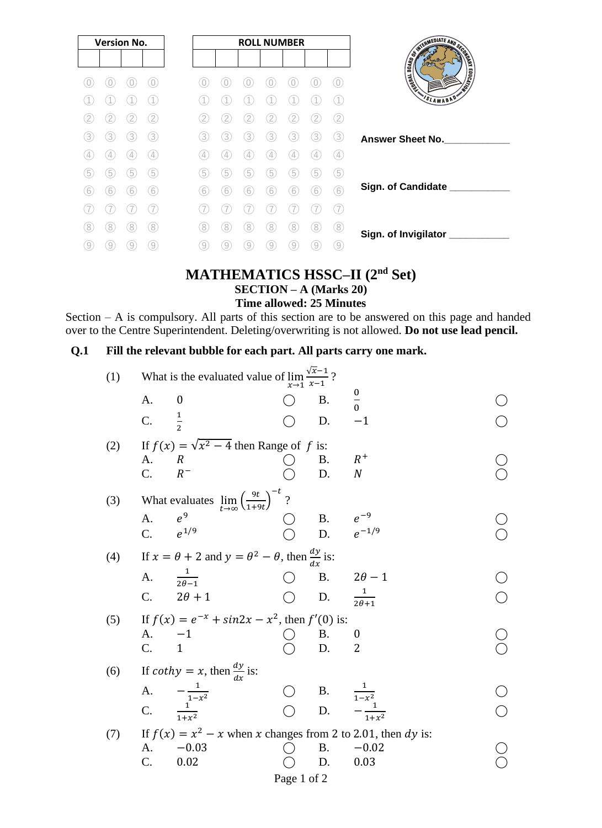| <b>Version No.</b> |   |   |                   |
|--------------------|---|---|-------------------|
|                    |   |   |                   |
|                    |   |   |                   |
|                    |   |   |                   |
|                    |   |   | 2                 |
| 3                  | 3 | 3 | 3                 |
| 4                  | 4 |   | $\left( 4\right)$ |
| 5                  | 5 | 5 | (5)               |
| 6                  | 6 | 6 | (6)               |
|                    |   |   |                   |
| 8                  | 8 | 8 | 8                 |
| 9                  | 9 | 9 | 9                 |

### **MATHEMATICS HSSC–II (2nd Set) SECTION – A (Marks 20) Time allowed: 25 Minutes**

Section – A is compulsory. All parts of this section are to be answered on this page and handed over to the Centre Superintendent. Deleting/overwriting is not allowed. **Do not use lead pencil.**

## **Q.1 Fill the relevant bubble for each part. All parts carry one mark.**

| (1) | What is the evaluated value of $\lim_{x \to 1} \frac{\sqrt{x-1}}{x}$ ?<br>$x\rightarrow 1$ $x-1$ |                                                                            |             |           |                                        |  |
|-----|--------------------------------------------------------------------------------------------------|----------------------------------------------------------------------------|-------------|-----------|----------------------------------------|--|
|     | A.                                                                                               | $\boldsymbol{0}$                                                           |             | <b>B.</b> | $\frac{0}{0}$                          |  |
|     | C.                                                                                               | $\frac{1}{2}$                                                              |             | D.        | $-1$                                   |  |
| (2) |                                                                                                  | If $f(x) = \sqrt{x^2 - 4}$ then Range of f is:                             |             |           |                                        |  |
|     | A.                                                                                               | $\boldsymbol{R}$                                                           |             | Β.        | $R^+$                                  |  |
|     | $\mathcal{C}$ .                                                                                  | $R^-$                                                                      |             | D.        | $\boldsymbol{N}$                       |  |
| (3) |                                                                                                  | What evaluates $\lim_{t\to\infty} \left(\frac{9t}{1+9t}\right)^{-t}$ ?     |             |           |                                        |  |
|     | A.                                                                                               | $e^9$                                                                      |             | <b>B.</b> | $e^{-9}$<br>$e^{-1/9}$                 |  |
|     | C.                                                                                               | $e^{1/9}$                                                                  |             | D.        |                                        |  |
| (4) |                                                                                                  | If $x = \theta + 2$ and $y = \theta^2 - \theta$ , then $\frac{dy}{dx}$ is: |             |           |                                        |  |
|     | A.                                                                                               | $\frac{1}{2\theta-1}$                                                      |             | <b>B.</b> | $2\theta - 1$                          |  |
|     | $\mathbf{C}$ .                                                                                   | $2\theta + 1$                                                              |             | D.        | $\mathbf{1}$<br>$\overline{2\theta+1}$ |  |
| (5) |                                                                                                  | If $f(x) = e^{-x} + \sin 2x - x^2$ , then $f'(0)$ is:                      |             |           |                                        |  |
|     | A.                                                                                               | $-1$                                                                       |             | <b>B.</b> | $\boldsymbol{0}$                       |  |
|     | C.                                                                                               | $\mathbf{1}$                                                               |             | D.        | 2                                      |  |
| (6) |                                                                                                  | If <i>cothy</i> = x, then $\frac{dy}{dx}$ is:                              |             |           |                                        |  |
|     | A.                                                                                               |                                                                            |             | <b>B.</b> |                                        |  |
|     | C.                                                                                               | $\frac{1}{1-x^2}$<br>$\frac{1}{1+x^2}$                                     |             | D.        | $rac{1}{1-x^2}$<br>$-\frac{1}{1+x^2}$  |  |
| (7) |                                                                                                  | If $f(x) = x^2 - x$ when x changes from 2 to 2.01, then dy is:             |             |           |                                        |  |
|     | A.                                                                                               | $-0.03$                                                                    |             | <b>B.</b> | $-0.02$                                |  |
|     | C.                                                                                               | 0.02                                                                       |             | D.        | 0.03                                   |  |
|     |                                                                                                  |                                                                            | Page 1 of 2 |           |                                        |  |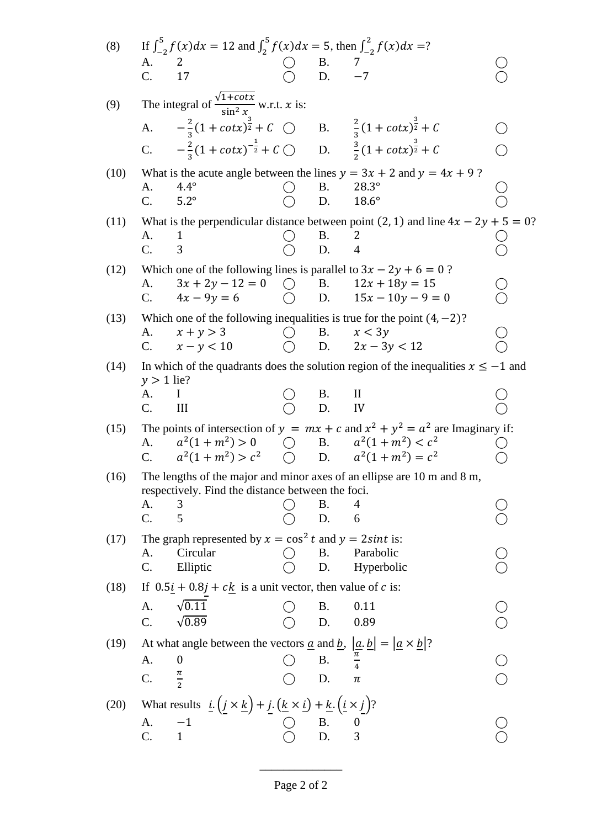| (8)  |                                                                                                                              | If $\int_{-2}^{5} f(x)dx = 12$ and $\int_{2}^{5} f(x)dx = 5$ , then $\int_{-2}^{2} f(x)dx = ?$                                                                                                                              |                                             |                   |                                                                                                             |  |  |  |  |
|------|------------------------------------------------------------------------------------------------------------------------------|-----------------------------------------------------------------------------------------------------------------------------------------------------------------------------------------------------------------------------|---------------------------------------------|-------------------|-------------------------------------------------------------------------------------------------------------|--|--|--|--|
|      | A.<br>C.                                                                                                                     | 2<br>17                                                                                                                                                                                                                     |                                             | B. $7$<br>D. $-7$ |                                                                                                             |  |  |  |  |
|      |                                                                                                                              |                                                                                                                                                                                                                             |                                             |                   |                                                                                                             |  |  |  |  |
| (9)  |                                                                                                                              | The integral of $\frac{\sqrt{1 + \cot x}}{\sin^2 x}$ w.r.t. x is:                                                                                                                                                           |                                             |                   |                                                                                                             |  |  |  |  |
|      |                                                                                                                              | A. $-\frac{2}{3}(1 + \cot x)^{\frac{3}{2}} + C$ O B. $\frac{2}{3}(1 + \cot x)^{\frac{3}{2}} + C$                                                                                                                            |                                             |                   |                                                                                                             |  |  |  |  |
|      |                                                                                                                              | C. $-\frac{2}{3}(1 + \cot x)^{-\frac{1}{2}} + C$ D. $\frac{3}{2}(1 + \cot x)^{\frac{3}{2}} + C$                                                                                                                             |                                             |                   |                                                                                                             |  |  |  |  |
| (10) |                                                                                                                              |                                                                                                                                                                                                                             |                                             |                   | What is the acute angle between the lines $y = 3x + 2$ and $y = 4x + 9$ ?                                   |  |  |  |  |
|      | А.<br>C.                                                                                                                     | $4.4^\circ$<br>$5.2^\circ$                                                                                                                                                                                                  |                                             | <b>B.</b><br>D.   | $28.3^\circ$<br>$18.6^\circ$                                                                                |  |  |  |  |
| (11) |                                                                                                                              |                                                                                                                                                                                                                             |                                             |                   | What is the perpendicular distance between point (2, 1) and line $4x - 2y + 5 = 0$ ?                        |  |  |  |  |
|      | A.<br>C.                                                                                                                     | 1<br>3                                                                                                                                                                                                                      |                                             | Β.<br>D.          | 2<br>$\overline{4}$                                                                                         |  |  |  |  |
| (12) |                                                                                                                              | Which one of the following lines is parallel to $3x - 2y + 6 = 0$ ?                                                                                                                                                         |                                             |                   |                                                                                                             |  |  |  |  |
|      | А.                                                                                                                           | $3x + 2y - 12 = 0$                                                                                                                                                                                                          | $\left(\begin{array}{c} \end{array}\right)$ | <b>B.</b>         | $12x + 18y = 15$                                                                                            |  |  |  |  |
|      | C.                                                                                                                           | $4x - 9y = 6$                                                                                                                                                                                                               |                                             |                   | D. $15x - 10y - 9 = 0$                                                                                      |  |  |  |  |
| (13) | А.                                                                                                                           | $x + y > 3$                                                                                                                                                                                                                 |                                             | <b>B.</b>         | Which one of the following inequalities is true for the point $(4, -2)$ ?<br>x < 3y                         |  |  |  |  |
|      | $\mathbf{C}$ .                                                                                                               | $x - y < 10$                                                                                                                                                                                                                |                                             |                   | D. $2x - 3y < 12$                                                                                           |  |  |  |  |
| (14) | $y > 1$ lie?                                                                                                                 |                                                                                                                                                                                                                             |                                             |                   | In which of the quadrants does the solution region of the inequalities $x \le -1$ and                       |  |  |  |  |
|      | А.                                                                                                                           |                                                                                                                                                                                                                             |                                             | B.<br>D.          | $\mathbf{I}$                                                                                                |  |  |  |  |
|      | C.                                                                                                                           | III                                                                                                                                                                                                                         |                                             |                   | IV                                                                                                          |  |  |  |  |
| (15) | A.                                                                                                                           | $a^2(1+m^2) > 0$                                                                                                                                                                                                            | $\bigcirc$                                  |                   | The points of intersection of $y = mx + c$ and $x^2 + y^2 = a^2$ are Imaginary if:<br>B. $a^2(1+m^2) < c^2$ |  |  |  |  |
|      | $C_{\cdot}$                                                                                                                  | $a^2(1+m^2) > c^2$ ( ) D. $a^2(1+m^2) = c^2$                                                                                                                                                                                |                                             |                   |                                                                                                             |  |  |  |  |
| (16) | The lengths of the major and minor axes of an ellipse are 10 m and 8 m,<br>respectively. Find the distance between the foci. |                                                                                                                                                                                                                             |                                             |                   |                                                                                                             |  |  |  |  |
|      | A.                                                                                                                           | 3                                                                                                                                                                                                                           |                                             | Β.                | 4                                                                                                           |  |  |  |  |
|      | C.                                                                                                                           | 5                                                                                                                                                                                                                           |                                             | D.                | 6                                                                                                           |  |  |  |  |
| (17) | A.                                                                                                                           | The graph represented by $x = \cos^2 t$ and $y = 2\sin t$ is:<br>Circular                                                                                                                                                   |                                             | Β.                | Parabolic                                                                                                   |  |  |  |  |
|      | C.                                                                                                                           | Elliptic                                                                                                                                                                                                                    |                                             | D.                | Hyperbolic                                                                                                  |  |  |  |  |
| (18) |                                                                                                                              | If $0.5i + 0.8j + ck$ is a unit vector, then value of c is:                                                                                                                                                                 |                                             |                   |                                                                                                             |  |  |  |  |
|      | A.                                                                                                                           | $\sqrt{0.11}$                                                                                                                                                                                                               |                                             | Β.                | 0.11                                                                                                        |  |  |  |  |
|      | $C$ .                                                                                                                        | $\sqrt{0.89}$                                                                                                                                                                                                               |                                             | D.                | 0.89                                                                                                        |  |  |  |  |
| (19) | A.                                                                                                                           | At what angle between the vectors <u><math>\alpha</math></u> and <u>b</u> , $ \alpha b  =  \alpha \times b $ ?<br>$\boldsymbol{0}$                                                                                          |                                             | <b>B.</b>         |                                                                                                             |  |  |  |  |
|      | C.                                                                                                                           | $\frac{\pi}{2}$                                                                                                                                                                                                             |                                             | D.                | π                                                                                                           |  |  |  |  |
|      |                                                                                                                              |                                                                                                                                                                                                                             |                                             |                   |                                                                                                             |  |  |  |  |
| (20) |                                                                                                                              | What results $\underline{i} \cdot (\underline{j} \times \underline{k}) + \underline{j} \cdot (\underline{k} \times \underline{i}) + \underline{k} \cdot (\underline{i} \times \underline{j})$ ?<br>A. -1<br>$\bigcirc$ B. 0 |                                             |                   |                                                                                                             |  |  |  |  |
|      | C.                                                                                                                           | $\mathbf{1}$                                                                                                                                                                                                                |                                             | $\overline{D}$ .  | $\begin{matrix}0\\3\end{matrix}$                                                                            |  |  |  |  |
|      |                                                                                                                              |                                                                                                                                                                                                                             |                                             |                   |                                                                                                             |  |  |  |  |

\_\_\_\_\_\_\_\_\_\_\_\_\_\_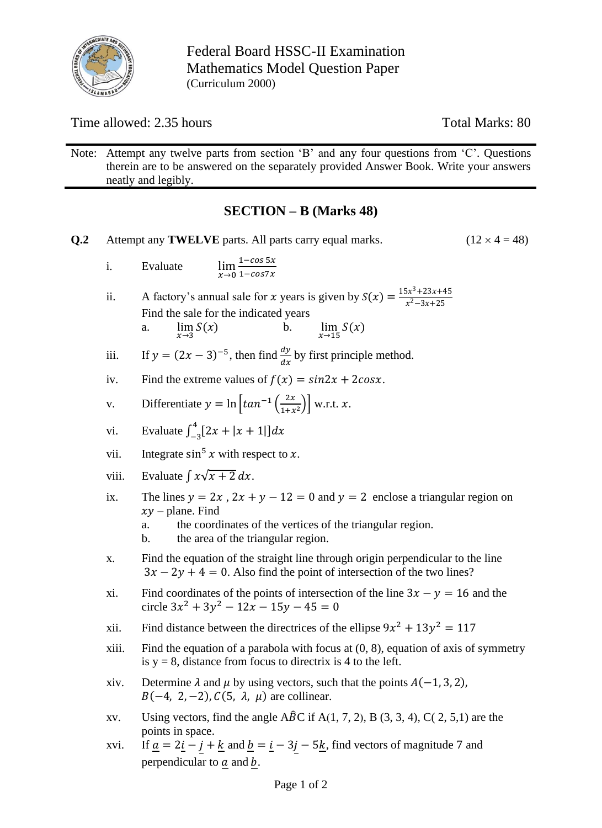

Federal Board HSSC-II Examination Mathematics Model Question Paper (Curriculum 2000)

Time allowed: 2.35 hours Total Marks: 80

Note: Attempt any twelve parts from section 'B' and any four questions from 'C'. Questions therein are to be answered on the separately provided Answer Book. Write your answers neatly and legibly.

## **SECTION – B (Marks 48)**

**Q.2** Attempt any **TWELVE** parts. All parts carry equal marks.  $(12 \times 4 = 48)$ i. Evaluate  $x\rightarrow 0$  $1 - \cos 5x$  $1-cos7x$ ii. A factory's annual sale for x years is given by  $S(x) = \frac{15x^3 + 23x + 45}{x^2 - 3x + 25}$  $x^2-3x+25$ Find the sale for the indicated years a.  $\lim_{x \to 3} S(x)$  $S(x)$  b.  $\lim_{x\to 15} S(x)$ iii. If  $y = (2x - 3)^{-5}$ , then find  $\frac{dy}{dx}$  by first principle method. iv. Find the extreme values of  $f(x) = sin2x + 2cosx$ . v. Differentiate  $y = \ln \left[ \tan^{-1} \left( \frac{2x}{1+x} \right) \right]$  $\frac{2x}{1+x^2}$  w.r.t. x. vi. Evaluate  $\int_{-3}^{4} [2x + |x + 1|] dx$ vii. Integrate  $\sin^5 x$  with respect to x. viii. Evaluate  $\int x\sqrt{x+2} dx$ . ix. The lines  $y = 2x$ ,  $2x + y - 12 = 0$  and  $y = 2$  enclose a triangular region on  $xy$  – plane. Find a. the coordinates of the vertices of the triangular region. b. the area of the triangular region. x. Find the equation of the straight line through origin perpendicular to the line  $3x - 2y + 4 = 0$ . Also find the point of intersection of the two lines? xi. Find coordinates of the points of intersection of the line  $3x - y = 16$  and the circle  $3x^2 + 3y^2 - 12x - 15y - 45 = 0$ xii. Find distance between the directrices of the ellipse  $9x^2 + 13y^2 = 117$ xiii. Find the equation of a parabola with focus at  $(0, 8)$ , equation of axis of symmetry is  $y = 8$ , distance from focus to directrix is 4 to the left. xiv. Determine  $\lambda$  and  $\mu$  by using vectors, such that the points  $A(-1, 3, 2)$ ,  $B(-4, 2, -2), C(5, \lambda, \mu)$  are collinear. xv. Using vectors, find the angle  $\widehat{ABC}$  if  $A(1, 7, 2)$ , B  $(3, 3, 4)$ , C(2, 5,1) are the points in space. xvi. If  $\underline{a} = 2\underline{i} - \underline{j} + \underline{k}$  and  $\underline{b} = \underline{i} - 3\underline{j} - 5\underline{k}$ , find vectors of magnitude 7 and perpendicular to  $\underline{a}$  and  $b$ .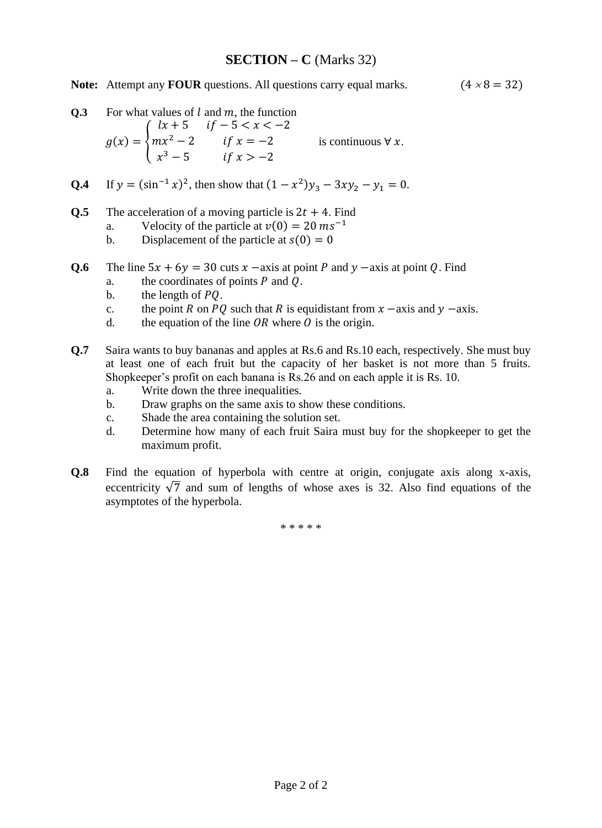### **SECTION – C** (Marks 32)

**Note:** Attempt any **FOUR** questions. All questions carry equal marks.  $(4 \times 8 = 32)$ 

**Q.3** For what values of *l* and *m*, the function  
\n
$$
g(x) = \begin{cases} lx + 5 & if -5 < x < -2 \\ mx^2 - 2 & if x = -2 \\ x^3 - 5 & if x > -2 \end{cases}
$$
 is continuous  $\forall x$ .

- **Q.4** If  $y = (\sin^{-1} x)^2$ , then show that  $(1 x^2)y_3 3xy_2 y_1 = 0$ .
- **Q.5** The acceleration of a moving particle is  $2t + 4$ . Find
	- a. Velocity of the particle at  $v(0) = 20$   $ms^{-1}$
	- b. Displacement of the particle at  $s(0) = 0$
- **Q.6** The line  $5x + 6y = 30$  cuts  $x axis$  at point  $P$  and  $y axis$  at point  $Q$ . Find
	- a. the coordinates of points  $P$  and  $Q$ .
	- b. the length of  $PQ$ .
	- c. the point R on PO such that R is equidistant from  $x$  –axis and  $y$  –axis.
	- d. the equation of the line  $OR$  where  $O$  is the origin.
- **Q.7** Saira wants to buy bananas and apples at Rs.6 and Rs.10 each, respectively. She must buy at least one of each fruit but the capacity of her basket is not more than 5 fruits. Shopkeeper's profit on each banana is Rs.26 and on each apple it is Rs. 10.
	- a. Write down the three inequalities.
	- b. Draw graphs on the same axis to show these conditions.
	- c. Shade the area containing the solution set.
	- d. Determine how many of each fruit Saira must buy for the shopkeeper to get the maximum profit.
- **Q.8** Find the equation of hyperbola with centre at origin, conjugate axis along x-axis, eccentricity  $\sqrt{7}$  and sum of lengths of whose axes is 32. Also find equations of the asymptotes of the hyperbola.

\* \* \* \* \*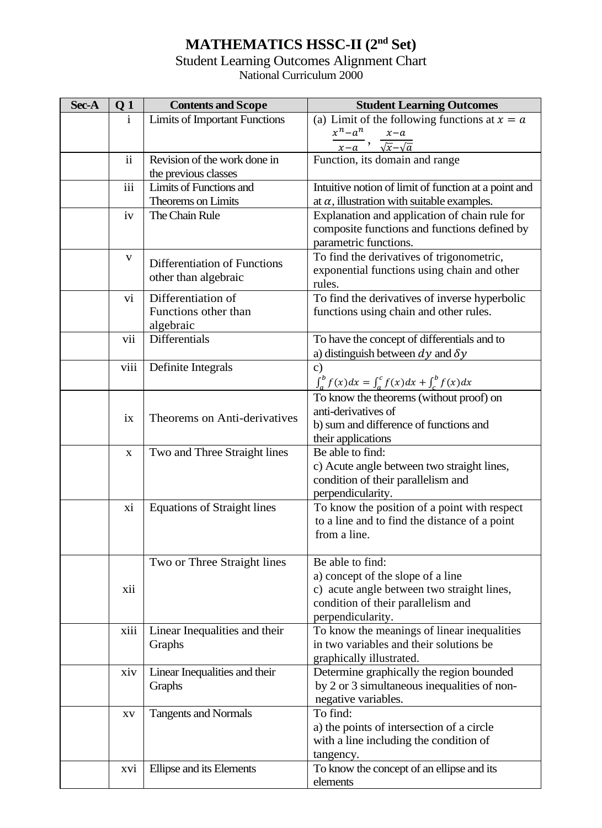## **MATHEMATICS HSSC-II (2nd Set)**

# Student Learning Outcomes Alignment Chart

National Curriculum 2000

| Sec-A | Q <sub>1</sub> | <b>Contents and Scope</b>                               | <b>Student Learning Outcomes</b>                                                                                                                               |  |  |  |
|-------|----------------|---------------------------------------------------------|----------------------------------------------------------------------------------------------------------------------------------------------------------------|--|--|--|
|       | i              | <b>Limits of Important Functions</b>                    | (a) Limit of the following functions at $x = a$                                                                                                                |  |  |  |
|       |                |                                                         | $x^n - a^n$<br>$x-a$                                                                                                                                           |  |  |  |
|       |                |                                                         | $x-a$ $\sqrt{x}-\sqrt{a}$                                                                                                                                      |  |  |  |
|       | $\mathbf{ii}$  | Revision of the work done in<br>the previous classes    | Function, its domain and range                                                                                                                                 |  |  |  |
|       | iii            | Limits of Functions and                                 | Intuitive notion of limit of function at a point and                                                                                                           |  |  |  |
|       |                | Theorems on Limits                                      | at $\alpha$ , illustration with suitable examples.                                                                                                             |  |  |  |
|       | iv             | The Chain Rule                                          | Explanation and application of chain rule for<br>composite functions and functions defined by<br>parametric functions.                                         |  |  |  |
|       | $\mathbf{V}$   | Differentiation of Functions<br>other than algebraic    | To find the derivatives of trigonometric,<br>exponential functions using chain and other<br>rules.                                                             |  |  |  |
|       | vi             | Differentiation of<br>Functions other than<br>algebraic | To find the derivatives of inverse hyperbolic<br>functions using chain and other rules.                                                                        |  |  |  |
|       | vii            | Differentials                                           | To have the concept of differentials and to<br>a) distinguish between $dy$ and $\delta y$                                                                      |  |  |  |
|       | viii           | Definite Integrals                                      | $\mathbf{c})$<br>$\int_{a}^{b} f(x)dx = \int_{a}^{c} f(x)dx + \int_{c}^{b} f(x)dx$                                                                             |  |  |  |
|       | ix             | Theorems on Anti-derivatives                            | To know the theorems (without proof) on<br>anti-derivatives of<br>b) sum and difference of functions and<br>their applications                                 |  |  |  |
|       | X              | Two and Three Straight lines                            | Be able to find:<br>c) Acute angle between two straight lines,<br>condition of their parallelism and<br>perpendicularity.                                      |  |  |  |
|       | xi             | <b>Equations of Straight lines</b>                      | To know the position of a point with respect<br>to a line and to find the distance of a point<br>from a line.                                                  |  |  |  |
|       | xii            | Two or Three Straight lines                             | Be able to find:<br>a) concept of the slope of a line<br>c) acute angle between two straight lines,<br>condition of their parallelism and<br>perpendicularity. |  |  |  |
|       | xiii           | Linear Inequalities and their<br>Graphs                 | To know the meanings of linear inequalities<br>in two variables and their solutions be<br>graphically illustrated.                                             |  |  |  |
|       | xiv            | Linear Inequalities and their<br>Graphs                 | Determine graphically the region bounded<br>by 2 or 3 simultaneous inequalities of non-<br>negative variables.                                                 |  |  |  |
|       | XV             | <b>Tangents and Normals</b>                             | To find:<br>a) the points of intersection of a circle<br>with a line including the condition of<br>tangency.                                                   |  |  |  |
|       | XVI            | Ellipse and its Elements                                | To know the concept of an ellipse and its<br>elements                                                                                                          |  |  |  |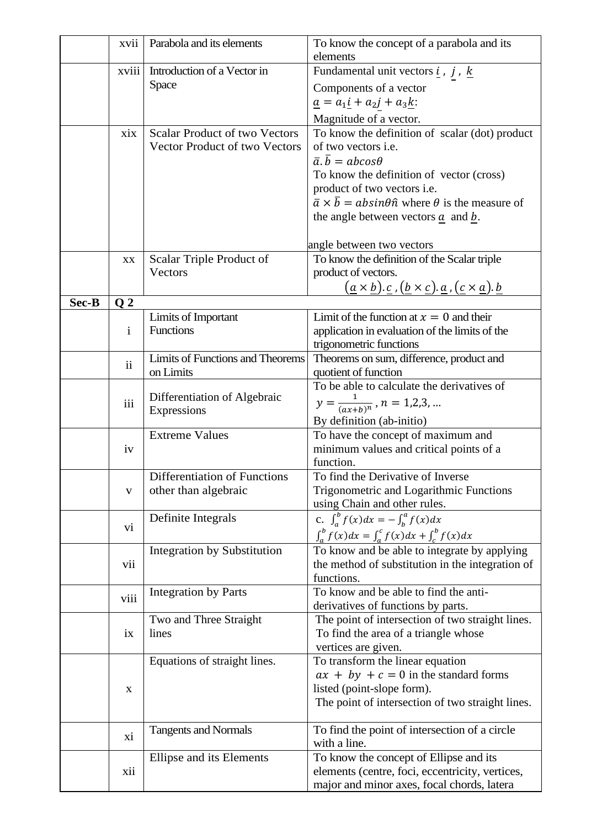|       | xvii           | Parabola and its elements            | To know the concept of a parabola and its<br>elements                                                                                                                    |  |  |  |
|-------|----------------|--------------------------------------|--------------------------------------------------------------------------------------------------------------------------------------------------------------------------|--|--|--|
|       | xviii          | Introduction of a Vector in          | Fundamental unit vectors $\underline{i}$ , $j$ , $\underline{k}$                                                                                                         |  |  |  |
|       |                | Space                                | Components of a vector                                                                                                                                                   |  |  |  |
|       |                |                                      | $\underline{a} = a_1 \underline{i} + a_2 \underline{j} + a_3 \underline{k}$                                                                                              |  |  |  |
|       |                |                                      |                                                                                                                                                                          |  |  |  |
|       | xix            | <b>Scalar Product of two Vectors</b> | Magnitude of a vector.                                                                                                                                                   |  |  |  |
|       |                | Vector Product of two Vectors        | To know the definition of scalar (dot) product<br>of two vectors <i>i.e.</i>                                                                                             |  |  |  |
|       |                |                                      | $\overline{a}.\overline{b} = abcos\theta$                                                                                                                                |  |  |  |
|       |                |                                      | To know the definition of vector (cross)                                                                                                                                 |  |  |  |
|       |                |                                      | product of two vectors i.e.                                                                                                                                              |  |  |  |
|       |                |                                      | $\overline{a} \times \overline{b} = absin\theta \hat{n}$ where $\theta$ is the measure of                                                                                |  |  |  |
|       |                |                                      | the angle between vectors $\underline{a}$ and $\underline{b}$ .                                                                                                          |  |  |  |
|       |                |                                      |                                                                                                                                                                          |  |  |  |
|       |                |                                      | angle between two vectors                                                                                                                                                |  |  |  |
|       | XX             | Scalar Triple Product of             | To know the definition of the Scalar triple                                                                                                                              |  |  |  |
|       |                | Vectors                              | product of vectors.                                                                                                                                                      |  |  |  |
|       |                |                                      | $(\underline{a}\times \underline{b}).\, \underline{c}$ , $(\underline{b}\times \underline{c}).\, \underline{a}$ , $(\underline{c}\times \underline{a}).\, \underline{b}$ |  |  |  |
| Sec-B | Q <sub>2</sub> |                                      |                                                                                                                                                                          |  |  |  |
|       |                | Limits of Important                  | Limit of the function at $x = 0$ and their                                                                                                                               |  |  |  |
|       | $\mathbf{i}$   | Functions                            | application in evaluation of the limits of the                                                                                                                           |  |  |  |
|       |                |                                      | trigonometric functions                                                                                                                                                  |  |  |  |
|       |                | Limits of Functions and Theorems     | Theorems on sum, difference, product and                                                                                                                                 |  |  |  |
|       | $\mathbf{ii}$  | on Limits                            | quotient of function                                                                                                                                                     |  |  |  |
|       |                |                                      | To be able to calculate the derivatives of                                                                                                                               |  |  |  |
|       | iii            | Differentiation of Algebraic         | $y = \frac{1}{(ax+b)^n}$ , $n = 1,2,3,$                                                                                                                                  |  |  |  |
|       |                | Expressions                          |                                                                                                                                                                          |  |  |  |
|       |                |                                      | By definition (ab-initio)                                                                                                                                                |  |  |  |
|       |                | <b>Extreme Values</b>                | To have the concept of maximum and                                                                                                                                       |  |  |  |
|       | iv             |                                      | minimum values and critical points of a                                                                                                                                  |  |  |  |
|       |                | Differentiation of Functions         | function.<br>To find the Derivative of Inverse                                                                                                                           |  |  |  |
|       | V              | other than algebraic                 | Trigonometric and Logarithmic Functions                                                                                                                                  |  |  |  |
|       |                |                                      | using Chain and other rules.                                                                                                                                             |  |  |  |
|       |                | Definite Integrals                   | c. $\int_{a}^{b} f(x) dx = - \int_{b}^{a} f(x) dx$                                                                                                                       |  |  |  |
|       | vi             |                                      | $\int_{a}^{b} f(x)dx = \int_{a}^{c} f(x)dx + \int_{c}^{b} f(x)dx$                                                                                                        |  |  |  |
|       |                |                                      |                                                                                                                                                                          |  |  |  |
|       |                | Integration by Substitution          | To know and be able to integrate by applying                                                                                                                             |  |  |  |
|       | vii            |                                      | the method of substitution in the integration of                                                                                                                         |  |  |  |
|       |                |                                      | functions.<br>To know and be able to find the anti-                                                                                                                      |  |  |  |
|       | viii           | <b>Integration by Parts</b>          | derivatives of functions by parts.                                                                                                                                       |  |  |  |
|       |                | Two and Three Straight               | The point of intersection of two straight lines.                                                                                                                         |  |  |  |
|       | ix             | lines                                | To find the area of a triangle whose                                                                                                                                     |  |  |  |
|       |                |                                      | vertices are given.                                                                                                                                                      |  |  |  |
|       |                | Equations of straight lines.         | To transform the linear equation                                                                                                                                         |  |  |  |
|       |                |                                      | $ax + by + c = 0$ in the standard forms                                                                                                                                  |  |  |  |
|       | X              |                                      | listed (point-slope form).                                                                                                                                               |  |  |  |
|       |                |                                      | The point of intersection of two straight lines.                                                                                                                         |  |  |  |
|       |                |                                      |                                                                                                                                                                          |  |  |  |
|       |                | <b>Tangents and Normals</b>          | To find the point of intersection of a circle                                                                                                                            |  |  |  |
|       | xi             |                                      | with a line.                                                                                                                                                             |  |  |  |
|       |                | Ellipse and its Elements             | To know the concept of Ellipse and its                                                                                                                                   |  |  |  |
|       | xii            |                                      | elements (centre, foci, eccentricity, vertices,                                                                                                                          |  |  |  |
|       |                |                                      | major and minor axes, focal chords, latera                                                                                                                               |  |  |  |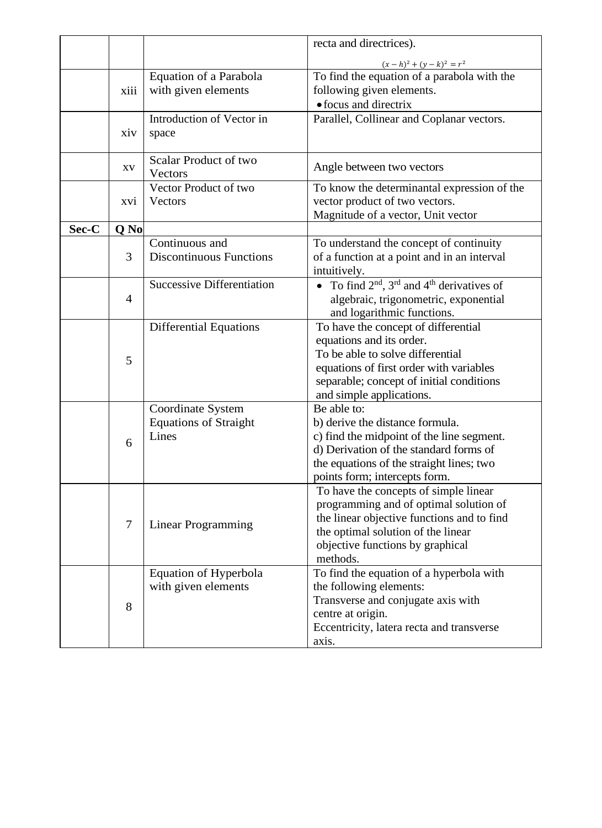|       |      |                                   | recta and directrices).                                 |  |  |  |  |
|-------|------|-----------------------------------|---------------------------------------------------------|--|--|--|--|
|       |      |                                   | $(x-h)^2 + (y-k)^2 = r^2$                               |  |  |  |  |
|       |      | Equation of a Parabola            | To find the equation of a parabola with the             |  |  |  |  |
|       | xiii | with given elements               | following given elements.                               |  |  |  |  |
|       |      |                                   | • focus and directrix                                   |  |  |  |  |
|       |      | Introduction of Vector in         | Parallel, Collinear and Coplanar vectors.               |  |  |  |  |
|       | xiv  | space                             |                                                         |  |  |  |  |
|       |      |                                   |                                                         |  |  |  |  |
|       |      | Scalar Product of two             |                                                         |  |  |  |  |
|       | XV   | Vectors                           | Angle between two vectors                               |  |  |  |  |
|       |      | Vector Product of two             | To know the determinantal expression of the             |  |  |  |  |
|       | XVI  | Vectors                           | vector product of two vectors.                          |  |  |  |  |
|       |      |                                   | Magnitude of a vector, Unit vector                      |  |  |  |  |
| Sec-C | Q No |                                   |                                                         |  |  |  |  |
|       |      | Continuous and                    | To understand the concept of continuity                 |  |  |  |  |
|       | 3    | <b>Discontinuous Functions</b>    | of a function at a point and in an interval             |  |  |  |  |
|       |      |                                   | intuitively.                                            |  |  |  |  |
|       |      | <b>Successive Differentiation</b> | To find $2^{nd}$ , $3^{rd}$ and $4^{th}$ derivatives of |  |  |  |  |
|       | 4    |                                   | algebraic, trigonometric, exponential                   |  |  |  |  |
|       |      |                                   | and logarithmic functions.                              |  |  |  |  |
|       |      | <b>Differential Equations</b>     | To have the concept of differential                     |  |  |  |  |
|       |      |                                   | equations and its order.                                |  |  |  |  |
|       | 5    |                                   | To be able to solve differential                        |  |  |  |  |
|       |      |                                   | equations of first order with variables                 |  |  |  |  |
|       |      |                                   | separable; concept of initial conditions                |  |  |  |  |
|       |      |                                   | and simple applications.                                |  |  |  |  |
|       |      | Coordinate System                 | Be able to:                                             |  |  |  |  |
|       |      | <b>Equations of Straight</b>      | b) derive the distance formula.                         |  |  |  |  |
|       | 6    | Lines                             | c) find the midpoint of the line segment.               |  |  |  |  |
|       |      |                                   | d) Derivation of the standard forms of                  |  |  |  |  |
|       |      |                                   | the equations of the straight lines; two                |  |  |  |  |
|       |      |                                   | points form; intercepts form.                           |  |  |  |  |
|       |      |                                   | To have the concepts of simple linear                   |  |  |  |  |
|       |      |                                   | programming and of optimal solution of                  |  |  |  |  |
|       | 7    | Linear Programming                | the linear objective functions and to find              |  |  |  |  |
|       |      |                                   | the optimal solution of the linear                      |  |  |  |  |
|       |      |                                   | objective functions by graphical                        |  |  |  |  |
|       |      |                                   | methods.                                                |  |  |  |  |
|       |      | Equation of Hyperbola             | To find the equation of a hyperbola with                |  |  |  |  |
|       |      | with given elements               | the following elements:                                 |  |  |  |  |
|       | 8    |                                   | Transverse and conjugate axis with                      |  |  |  |  |
|       |      |                                   | centre at origin.                                       |  |  |  |  |
|       |      |                                   | Eccentricity, latera recta and transverse               |  |  |  |  |
|       |      |                                   | axis.                                                   |  |  |  |  |